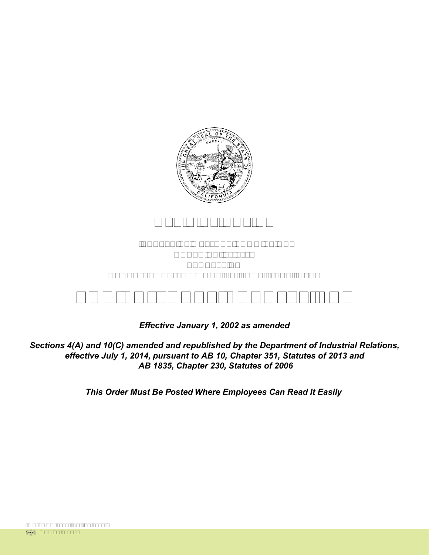

**OFFICIAL NOTICE**

 **WAGES, HOURS AND WORKING CONDITIONS IN THE INDUSTRIAL WELFARE COMMISSION ORDER NO. 14-2001 REGULATING**

# **AGRICULTURAL OCCUPATIONS**

 *Effective January 1, 2002 as amended*

 *effective July 1, 2014, pursuant to AB 10, Chapter 351, Statutes of 2013 and AB 1835, Chapter 230, Statutes of 2006 Sections 4(A) and 10(C) amended and republished by the Department of Industrial Relations,*

 *This Order Must Be Posted Where Employees Can Read It Easily*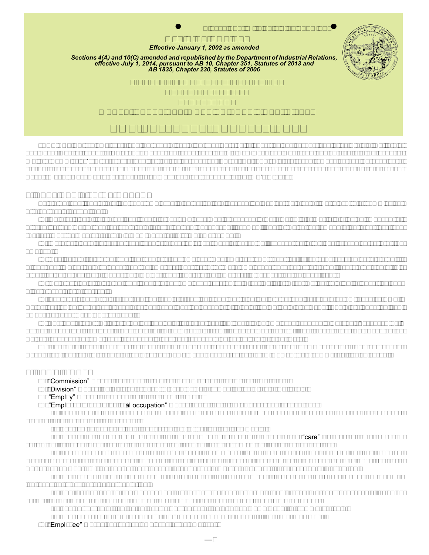**• Please Post With This Side Showing •**

## **OFFICIAL NOTICE**

*Effective January 1, 2002 as amended* 



*Sections 4(A) and 10(C) amended and republished by the Department of Industrial Relations, effective July 1, 2014, pursuant to AB 10, Chapter 351, Statutes of 2013 and AB 1835, Chapter 230, Statutes of 2006* 

## **INDUSTRIAL WELFARE COMMISSION ORDER NO. 14-2001 REGULATING WAGES, HOURS AND WORKING CONDITIONS IN THE**

## **AGRICULTURAL OCCUPATIONS**

 **TAKE NOTICE:** To employers and representatives of persons working in industries and occupations in the State of California: The Department of Industrial Relations amends and republishes the minimum wage and meals and lodging credits in the Industrial Welfare Commission's Orders as a result of legislation enacted (AB 10, Ch. 351, Stats of 2013, amending section 1182.12 of the California Labor Code, and AB 1835, Ch. 230, Stats of 2006, adding sections 1182.12 and 1182.13 to the California Labor Code .) The amendments and republishing make no other changes to the IWC's Orders.

## **1. APPLICABILITY OF ORDER**

This order shall apply to all persons employed in an agricultural occupation whether paid on a time, piece rate, commission, or other basis, except that:

 or creative, and which requires exercise of discretion and independent judgment, and for which the remuneration is not less than two (2) times the monthly state minimum wage for full-time employment. (A) No provision of this order shall apply to any employee who is engaged in work which is primarily intellectual, managerial,

 (B) No provision of this order shall apply to any individual who is the parent, spouse, child, or legally adopted child of the employer.

 (C) Section 5 of this order shall not apply to any employer who employs fewer than five (5) persons covered by this order. If at any one time during a calendar year an employer has five (5) or more employees covered by this order, every provision of this order, including Section 5, Reporting Time Pay, shall apply to that employer throughout that calendar year.

 (D) No provision of this order shall apply to any employee covered by Order No. 8 or Order No. 13, relating to industries handling products after harvest.

 (E) The provisions of this order shall not apply to any individual participating in a national service program, such as Ameri- Corps, carried out using assistance provided under Section 12571 of Title 42 of the United States Code. (See Stats. 2000, ch. 365, amending Labor Code Section 1171.)

(F) Sections 3, 4(A)-(D), 5, 6, 9, 11, 12, and 13 of this order shall not apply to an employee engaged to work as a " sheepherder," as that occupation is defined in Section 2 (N). Otherwise, this order, including Section 4 (A), shall apply to any workweek during which a sheepherder employee is engaged in any non-sheepherding agricultural or other work.

 (G) Section 3 of this order shall not apply to an employee licensed pursuant to Article 3 (commencing with Section 7850) of Chapter 1 of Part 3 of Division 6 of the Fish and Game Code who serves as a crew member on a commercial fishing vessel.

## **2. DEFINITIONS**

(A) "Commission" means the Industrial Welfare Commission of the State of California.

- (B) "Division" means the Division of Labor Standards Enforcement of the State of California.
- (C) "Employ" means to engage, suffer, or permit to work.

(D) "Employed in an agricultural occupation" means any of the following described occupations:

 (1) The preparation, care, and treatment of farm land, pipeline, or ditches, including leveling for agricultural purposes, plowing, discing, and fertilizing the soil;

(2) The sowing and planting of any agricultural or horticultural commodity;

(3) The care of any agricultural or horticultural commodity; as used in this subdivision, "care" includes but is not limited to cultivation, irrigation, weed control, thinning, heating, pruning, or tying, fumigating, spraying, and dusting;

 (4) The harvesting of any agricultural or horticultural commodity, including but not limited to picking, cutting, threshing, mowing, knocking off, field chopping, bunching, baling, balling, field packing, and placing in field containers or in the vehicle in which the commodity will be hauled, and transportation on the farm or to a place of first processing or distribution;

 (5) The assembly and storage of any agricultural or horticultural commodity, including but not limited to, loading, road siding, banking, stacking, binding, and piling;

 (6) The raising, feeding and management of livestock, fur bearing animals, poultry, fish, mollusks, and insects, including but not limited to herding, housing, hatching, milking, shearing, handling eggs, and extracting honey;

(7) The harvesting of fish, as defined by Section 45 of the Fish and Game Code, for commercial sale;

(8) The conservation, improvement or maintenance of such farm and its tools and equipment.

(E) "Employee" means any person employed by an employer.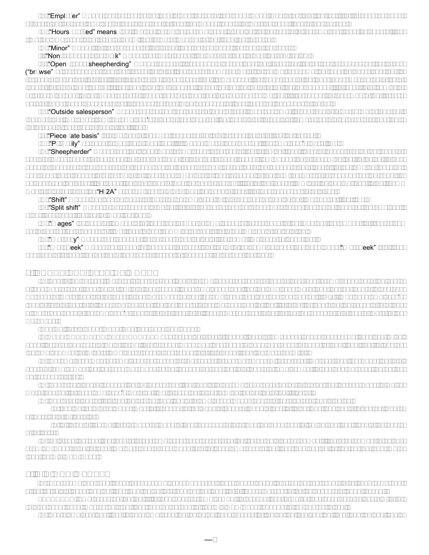(F) ―Employer‖ means any person as defined in Section 18 of the Labor Code, who directly or indirectly, or through an agent or any other person, employs or exercises control over the wages, hours, or working conditions of any person.

(G) "Hours worked" means the time during which an employee is subject to the control of an employer, and includes all the time the employee is suffered or permitted to work, whether or not required to do so.

 $(H)$  "Minor" means, for the purpose of this order, any person under the age of 18 years.

(I) "Non-sheepherding work" means any work except the work defined in Section  $2(N)$  below.

 (J) ―Open range sheepherding‖ means, generally, sheepherding on land that is not cultivated, but produces native forage (―browse‖ or herbaceous food that is available to livestock or game animals) for animal consumption, and includes land that is re-vegetated naturally or artificially to provide forage cover that is managed like range vegetation. The range may be on private, federal, or state land. Typically, the land is not only non-cultivated, but not suitable for cultivation because it is rocky, thin, semiarid, or otherwise poor. Also, many acres of range land are required to graze one animal unit (five sheep) for one month. By its very nature, open range sheepherding is conducted over wide expanses of land, such as thousands of acres.

 (K) ―Outside salesperson‖ means any person, 18 years of age or over, who customarily and regularly works more than half the working time away from the employer's place of business selling tangible or intangible items or obtaining orders or contracts for products, services or use of facilities.

(L) ―Piece rate basis‖ is a method of payment based on units of production or a fraction thereof.

(M) "Primarily" as used in Section 1, Applicability, means more than one-half the employee's work time.

(N) "Sheepherder" means any individual who is employed to do any of the following: tend flocks of sheep grazing on range or pasture; move sheep to and about an area assigned for grazing; prevent sheep from wandering or becoming lost, or using trained dogs to round up strays and protect sheep against predators and the eating of poisonous plants; assist in the lambing, docking, and shearing of sheep; provide water or feed supplementary rations to sheep; or perform the work of a sheepherder pursuant to an approved job order filed under the provisions of Section 101(a)(15)(H)(ii)(a) of the federal Immigration and Nationality Act (commonly referred to as the "H-2A" program (see 8 U.S.C. Section 1101 et seq.), or any successor provisions.

(O) ―Shift‖ means designated hours of work by an employee, with a designated beginning time and quitting time.

 (P) ―Split shift‖ means a work schedule which, is interrupted by non-paid non-working periods established by the employer, other than bona fide rest or meal periods.

(Q) "Wages" includes all amounts for labor performed by employees of every description, whether the amount is fixed or ascertained by the standard of time, task, piece, commission basis, or other method of calculation.

(R) "Workday" means any consecutive 24 hours beginning at the same time each calendar day.

(S) "Workweek" means any seven (7) consecutive days, starting with the same calendar day each week. "Workweek" is a fixed and regularly recurring period of 168 hours, seven (7) consecutive 24-hour periods.

### **3. HOURS AND DAYS OF WORK**

 (A) The following overtime provisions are applicable to employees 18 years of age or over and to employees 16 or 17 years of age who are not required by law to attend school: such employees shall not be employed more than ten (10) hours in any one workday or more than six (6) days in any workweek unless the employee receives one and one-half (1½) times such employee's regular rate of pay for all hours worked over ten (10) hours in any workday and for the first eight (8) hours on the seventh (7th) day of work and double the employee's regular rate of pay for all hours worked over eight (8) on the seventh (7th) day of work in the workweek.

(See California Labor Code, Sections 1391 and 1394)

 (**VIOLATIONS OF CHILD LABOR LAWS** are subject to civil penalties of from \$500 to \$10,000 as well as to criminal penalties provided herein. Refer to California Labor Code Sections 1285 to 1312 and 1390 to 1399 for additional restrictions on the employ- ment of minors. Employers should ask school districts about required work permits.)

 (B) An employee may be employed on seven (7) workdays in one workweek with no overtime pay required when the total hours of employment during such workweek do not exceed 30 and the total hours of employment in any one workday thereof do not exceed six (6).

 (C) The provisions of subsection (A) above shall not apply to an employee covered by this order during any week in which more than half of such employee's working time is devoted to performing the duties of an irrigator.

(D) The provisions of this section are not applicable to employees whose hours of service are regulated by:

 (1) The United States Department of Transportation Code of Federal Regulations, Title 49, Sections 395.1 to 395.13, Hours of Service of Drivers; or

 (2) Title 13 of the California Code of Regulations, subchapter 6.5, Section 1200 and following sections, regulating hours of drivers.

 (E) This section shall not apply to any employee covered by a collective bargaining agreement if said agreement provides premium wage rates for overtime work and a cash wage rate for such employee of not less than one dollar (\$1.00) per hour more than the minimum wage.

#### **4. MINIMUM WAGES**

 (A) Every employer shall pay to each employee wages not less than nine dollars (\$9.00) per hour for all hours worked, effective July 1, 2014, and not less than ten dollars (\$10.00) per hour for all hours worked, effective January 1, 2016, except:

 LEARNERS: Employees during their first 160 hours of employment in occupations in which they have no previous similar or related experience, may be paid not less than 85 percent of the minimum wage rounded to the nearest nickel.

(B) Every employer shall pay to each employee, on the established payday for the period involved, not less than the applicable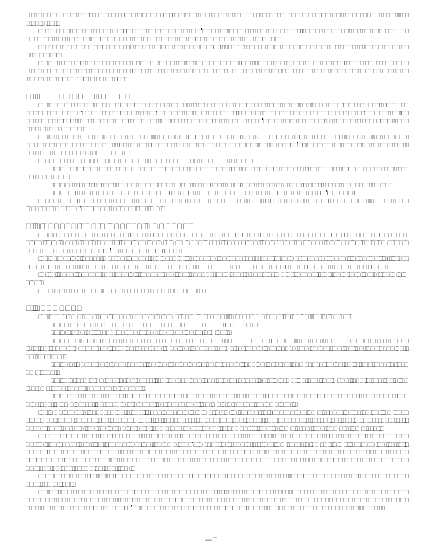minimum wage for all hours worked in the payroll period, whether the remuneration is measured by time, piece, commission, or otherwise.

 (C) When an employee works a split shift, one (1) hour's pay at the minimum wage shall be paid in addition to the minimum wage for that workday, except when the employee resides at the place of employment.

 (D) The provisions of this section shall not apply to apprentices regularly indentured under the State Division of Apprenticeship Standards.

 (E) Effective July 1, 2001, the minimum wage for all sheepherders shall be \$1,050.00 per month; effective July 1, 2002 the minimum wage for all sheepherders shall be \$1,200.00 per month. Wages paid to sheepherders shall not be offset by meals or lodging provided by the employer.

## **5. REPORTING TIME PAY**

 half said employee's usual or scheduled day's work, the employee shall be paid for half the usual or scheduled day's work, but in no event for less than two (2) hours nor more than four (4) hours, at the employee's regular rate of pay, which shall not be less than the minimum wage. (A) Each workday an employee is required to report for work and does report, but is not put to work or is furnished less than

 work on the second reporting, said employee shall be paid for two (2) hours at the employee's regular rate of pay, which shall not be less than the minimum wage. (B) If an employee is required to report for work a second time in any one workday and is furnished less than two (2) hours of

(C) The foregoing reporting time pay provisions are not applicable when:

 (1) Operations cannot commence or continue due to threats to employees or property; or when recommended by civil authorities; or

(2) Public utilities fail to supply electricity, water, or gas, or there is a failure in the public utilities, or sewer system; or

(3) The interruption of work is caused by an Act of God or other cause not within the employer's control.

 (D) This section shall not apply to an employee on paid standby status who is called to perform assigned work at a time other than the employee's scheduled reporting time.

## **6. LICENSES FOR DISABLED WORKERS**

 disability or mental deficiency at less than the minimum wage. Such licenses shall be granted only upon joint application of employer (A) A license may be issued by the Division authorizing employment of a person whose earning capacity is impaired by physical and employee and employee's representative if any.

 (B) A special license may be issued to a nonprofit organization such as a sheltered workshop or rehabilitation facility fixing special minimum rates to enable the employment of such persons without requiring individual licenses of such employees.

 (C) All such licenses and special licenses shall be renewed on a yearly basis or more frequently at the discretion of the Division.

(See California Labor Code, Sections 1191 and 1191.5)

## **7. RECORDS**

(A) Every employer shall keep accurate information with respect to each employee including the following:

(1) Full name, home address, occupation and social security number.

(2) Birth date, if under 18 years, and designation as a minor.

 (3) Time records showing when the employee begins and ends each work period. Meal periods, split shift intervals and total daily hours worked shall also be recorded. Meal periods during which, operations cease and authorized rest periods need not be recorded.

 (4) Total wages paid each payroll period, including value of board, lodging, or other compensation actually furnished to the employee.

 (5) Total hours worked in the payroll period and applicable rates of pay. This information shall be made readily available to the employee upon reasonable request.

 (6) When a piece rate or incentive plan is in operation, piece rates or an explanation of the incentive plan formula shall be provided to employees. An accurate production record shall be maintained by the employer.

 (B) Employers of sheepherders shall keep accurate information with respect to sheepherder employees, including an itemized statement showing applicable rates of pay for sheepherding and any applicable non-sheepherding agricultural or other work, all deductions, dates of period for which paid, name and social security number (if any) of employee, and name of employer.

 (C) Every employer shall semimonthly or at the time of each payment of wages furnish each employee, either as a detachable part of the check, draft, or voucher paying the employee's wages, or separately, an itemized statement in writing showing: (1) all deductions; (2) the inclusive dates of the period for which the employee is paid; (3) the name of the employee or the employee's social security number; and (4) the name of the employer, provided all deductions made on written orders of the employee may be aggregated and shown as one item.

 (D) Every employer of a sheepherder shall annually notify the sheepherder of his or hers rights and obligations under state and federal law.

 (E) All required records shall be in the English language and in ink or other indelible form, properly dated, showing month, day and year, and shall be kept on file by the employer for at least three years at the place of employment or at a central location within the State of California. An employee's records shall be available for inspection by the employee upon reasonable request.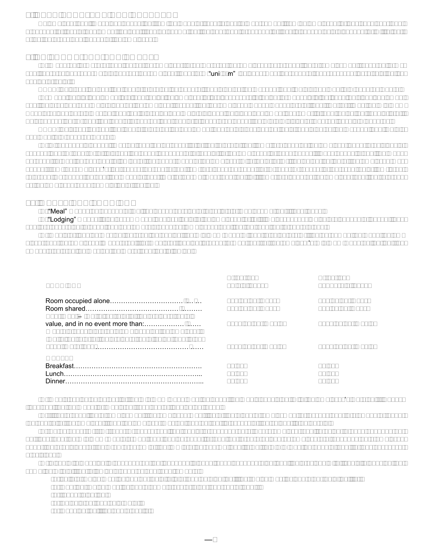## **8. CASH SHORTAGE AND BREAKAGE**

 breakage, or loss of equipment, unless it can be shown that the shortage, breakage, or loss is caused by a dishonest or willful act, No employer shall make any deduction from the wage or require any reimbursement from an employee for any cash shortage, or by the gross negligence of the employee.

## **9. UNIFORMS AND EQUIPMENT**

shall be provided and maintained by the employer. The term "uniform" includes wearing apparel and accessories of distinctive (A) When uniforms are required by the employer to be worn by the employee as a condition of employment, such uniforms design or color.

**NOTE:** This section shall not apply to protective apparel regulated by the Occupational Safety and Health Standards Board.

 (B)When tools or equipment are required by the employer or are necessary to the performance of a job, such tools and equipment wage provided herein may be required to provide and maintain hand tools and equipment customarily required by the trade or craft. shall be provided and maintained by the employer, except that an employee whose wages are at least two (2) times the minimum This subsection (B) shall not apply to apprentices regularly indentured under the State Division of Apprenticeship Standards.

**NOTE:** This section shall not apply to protective equipment and safety devices on tools regulated by the Occupational Safety and Health Standards Board.

 (C) A reasonable deposit may be required as security for the return of the items furnished by the employer under provisions of pursuant to Section 400 and following of the Labor Code or an employer with the prior written authorization of the employee may deduct from the employee's last check the cost of an item furnished pursuant to (A) and (B) above in the event said item is not returned. No deduction shall be made at any time for normal wear and tear. All items furnished by the employer shall be returned subsections (A) and (B) of this section upon issuance of a receipt to the employee for such deposit. Such deposits shall be made by the employee upon completion of the job.

## **10. MEALS AND LODGING**

(A) "Meal" means an adequate, well-balanced serving of a variety of wholesome, nutritious foods.

 (B) ―Lodging‖ means living accommodations available to the employee for full-time occupancy which are adequate, decent, and sanitary according to usual and customary standards. Employees shall not be required to share a bed.

 (C) Meals or lodging may not be credited against the minimum wage without a voluntary written agreement between the em- ployer and the employee. When credit for meals or lodging is used to meet part of the employer's minimum wage obligation, the amounts so credited may not be more than the following:

| <b>LODGING</b>                                                                                                | <b>Effective</b><br><b>July 1, 2014</b> | <b>Effective</b><br><b>January 1, 2016</b> |
|---------------------------------------------------------------------------------------------------------------|-----------------------------------------|--------------------------------------------|
| Apartment – two thirds $(2/3)$ of the ordinary rental                                                         | \$42.33 per week<br>\$34.94 per week    | \$47.03 per week<br>\$38.82 per week       |
| Where a couple are both employed by the employer,<br>two thirds (2/3) of the ordinary rental value, and in no | \$508.38 per month                      | \$564.81 per month                         |
|                                                                                                               | \$752.02 per month                      | \$835.49 per month                         |
| <b>MEALS</b>                                                                                                  | \$3.26                                  | \$3.62                                     |
|                                                                                                               | \$4.47                                  | \$4.97                                     |
|                                                                                                               | \$6.01                                  | \$6.68                                     |

 (D) Meals evaluated as part of the minimum wage must be bona fide meals consistent with the employee's work shift. Deductions shall not be made for meals not received or lodging not used.

 (E) If, as a condition of employment, the employee must live at the place of employment or occupy quarters owned or under the control of the employer, then the employer may not charge rent in excess of the values listed herein.

 (F) Paragraphs (C), (D), and (E) above shall not apply to sheepherders. Every employer shall provide to each sheepherder not less than the minimum monthly meal and lodging benefits required to be provided by employers of sheepherders employed under the provisions of the H-2A program of the Immigration and Nationality Act [8 U.S.C Section 1101 et seq], or any successor provisions.

 (G) Fixed Site Housing: A sheepherder not engaged in open range sheepherding, shall be provided with fixed site housing that complies with all the following standards and requirements:

(1) Toilets (which may include portable toilets) and bathing facilities (which may include a portable facility).

(2) Heating (which may include a camp stove or other sources of heat).

(3) Indoor Lighting.

(4) Potable hot and cold water.

(5) Cooking facilities and utensils.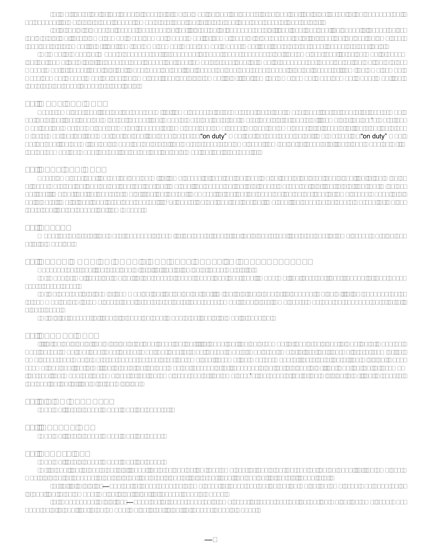(6) Refrigeration for perishable foodstuffs (which may include ice chests, provided that ice is delivered to the sheepherder, as needed, to maintain a continuous temperature required to retard spoilage and assure food safety).

(7) Fixed Site Housing Inspections: housing that is erected for sheepherders at fixed locations shall be annually inspected by the State of California Employment Development Department for compliance with Paragraph (F) of this section, unless the employer receives a statement in writing from the Employment Development Department that there are no such inspectors available.

 (H) Mobile Housing: When a sheepherder is engaged in open range sheepherding, the employer shall provide mobile hous- ing that complies with all standards and inspection requirements prescribed for mobile sheepherder housing by the United States Department of Labor then in effect. Such housing shall be inspected and approved annually by an inspector from the Employment Development Department unless the employer receives a statement in writing from the Employment Development Department that there are no such inspectors available.

## **11. MEAL PERIODS**

 Every employer shall authorize and permit all employees after a work period of not more than five (5) hours to take a meal period of not less than 30 minutes, except that when a work period of not more than six (6) hours will complete the day's work the meal period may be waived by mutual consent of employer and employee. Unless the employee is relieved of all duty during a 30 minute meal period, the meal period shall be considered an "on duty" meal period and counted as time worked. An "on duty" meal period shall be permitted only when the nature of the work prevents an employee from being relieved of all duty and when by written agreement between the parties an on-the-job paid meal period is agreed to.

## **12. REST PERIODS**

 Every employer shall authorize and permit all employees to take rest periods, which insofar as practicable shall be in the middle of each work period. The authorized rest period time shall be based on the total hours worked daily at the rate of ten (10) minutes net rest time per four (4) hours or major fraction thereof. However, a rest period need not be authorized for employees whose total daily work time is less than three and one-half (31/<sub>2</sub>) hours. Authorized rest period time shall be counted as hours worked for which there shall be no deduction from wages.

## **13. SEATS**

 When the nature of the work reasonably permits the use of seats, suitable seats shall be provided for employees working on or at a machine.

## **14. OTHER WORKING CONDITIONS APPLICABLE TO SHEEPHERDERS**

Sheepherders shall be provided with all of the following at each work site:

 (A) Regular mail service, which, in the case of open range locations, shall mean mail delivery not less frequently than once every seven days.

 (B) An appropriate form of communication, including but not limited to a radio and/or telephone, which will allow sheepherders to communicate with employers, health care providers, and government regulators. Employers may charge sheepherders for all others uses.

(C) Visitor access to fixed site housing and, when practicable to mobile housing.

## **15. EXEMPTIONS**

 If, in the opinion of the Division after due investigation, it is found that the enforcement of any provisions in Section 7, Records; Section 11, Meal Periods; Section 12, Rest Periods; or Section 13, Seats, would not materially affect the welfare or comfort of employees and would work an undue hardship on the employer, exemption may be made at the discretion of the Division. Such exemptions shall be in writing to be effective any may be revoked after reasonable notice is given in writing. Application for exemp- tion shall be made by the employer or by the employee and/or the employee's representative to the Division in writing. A copy of the application is filed with the Division.

## **16. FILING REPORTS**

(See California Labor Code, Section 1174(a))

## **17. INSPECTION**

(See California Labor Code, Section 1174)

### **18. PENALTIES**

(See California Labor Code, Section 1199)

 (A) In addition to any other civil penalties provided by law, any employer or any other person acting on behalf of the employer who violates, or causes to be violated, the provisions of this order, shall be subject to the civil penalty of:

 (1) Initial Violation—\$50.00 for each underpaid employee for each pay period during which the employee was underpaid in addition to an amount which is sufficient to recover unpaid wages.

 (2) Subsequent Violations—\$100.00 for each underpaid employee for each pay period during which the employee was underpaid in addition to an amount which is sufficient to recover unpaid wages.

—5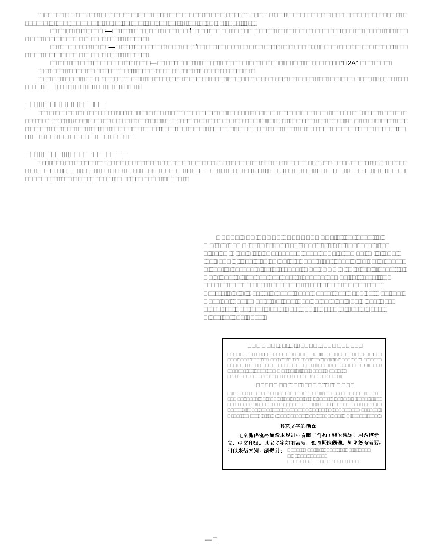(B) Any employer or any other person acting on behalf of the employer who employs sheepherders and who requires them to engage in non-sheepherding duties shall be subject to the following penalties:

(1) Initial violations—a civil penalty of one week's pay computed on a basis of a 60 hour workweek and a wage of n less than the current minimum wage in effect.

(2) Second violation—a civil penalty of one month's pay computed on a basis of a 252 hour month and a wage of no less than the current minimum wage in effect.

(3) Third and subsequent violation—a civil penalty equal to the cost of the contract of the approved "H2A" job order.

(C) The affected employee shall receive payment of all wages recovered.

(D) The Labor Commissioner may also issue citations pursuant to Labor Code Section 1197.1 for non-payment of wages for overtime work in violation of this order.

### **19. SEPARABILITY**

If the application of any provision of this Order, or any section, subsection, subdivision, sentence, clause, phrase, word, or portion of this Order should be held invalid or unconstitutional or unauthorized or prohibited by statute, the remaining provisions thereof shall not be affected thereby, but shall continue to be given full force and effect as if the part so held invalid or unconstitutional had not been included herein.

## **20. POSTING OF ORDER**

Every employer shall keep a copy of this Order posted in an area frequented by employees where it may be easily read during the workday. Where the location of work or other conditions make this impractical, every employer shall keep a copy of this Order and make it available to every employee upon request.

> **QUESTIONS ABOUT ENFORCEMENT** of the Industrial Welfare Commission orders and reports of violations should be directed to the Division of Labor Standards Enforcement.A listing of the DLSE offices is below on this wage order. Look in the white pages of your telephone directory under CALIFORNIA, State of, Industrial Relations for the address and telephone number of the office nearest you. The Divi- sion has offices in the following cities: Bakersfield, El Centro, Fresno, Long Beach, Los Angeles, Oakland, Redding, Sacramento, Salinas, San Bernardino, San Diego, San Francisco, San Jose, Santa Ana, Santa Barbara, Santa Rosa, Stockton, Van Nuys.

#### **SUMMARIES IN OTHER LANGUAGES**

**The Department of Industrial Relations will make summaries of wage and hour requirements in this Order available in Spanish, Chinese and certain other languages when it is feasible to do so. Mail your request for such summaries to the Department at: P.O. box 420603, San Francisco, CA 94142-0603.** 

#### **RESUMEN EN OTROS IDIOMAS**

**El Departamento de Relaciones Industriales confeccionara un resumen sobre los requisitos de salario y horario de esta Disposicion en español, chino y algunos otros idiomas cuando sea posible hacerlo. Envie por correo su pedido por dichos resumenes al Departamento a: P.O. box 420603, San Francisco, CA 94142-0603.** 

其宅文字的摘錄

工業關係處將摘錄本規則中有關工資和工時的規定,用西班牙 文、中文印出。其宅文字如有需要,也將同樣辦理。如果您有需要,

**可以來信索閱, 請寄到: Department of Industrial Relations P.O. box 420603 San Francisco, CA 94142-0603** 

—6